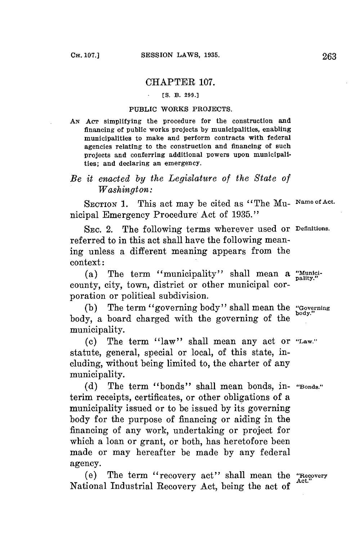## CHAPTER **107.**

## **[S. B. 299.]**

## **PUBLIC WORKS PROJECTS.**

**AN** AcT simplifying the procedure for the construction and financing of public works projects **by** municipalities, enabling municipalities to make and perform contracts with federal agencies relating to the construction and financing of such projects and conferring additional powers upon municipalities; and declaring an emergency.

## *Be it enacted by the Legislature of the State of Washington:*

SECTION **1.** This act may be cited as "The Mu- **Narne of** Act. nicipal Emergency Procedure Act of **1935."**

SEC. 2. The following terms wherever used or Definitions. referred to in this act shall have the following meaning unless a different meaning appears from the context:

(a) The term "municipality" shall mean a "Municicounty, city, town, district or other municipal corporation or political subdivision.

**(b)** The term "governing body" shall mean the **"Governing** body, a board charged with the governing of the **body.** municipality.

**(c)** The term "law" shall mean any act or "Law." statute, general, special or local, of this state, including, without being limited to, the charter of any municipality.

**(d)** The term "bonds" shall mean bonds, in- **"Bonds."** terim receipts, certificates, or other obligations of a municipality issued or to be issued **by** its governing body **for** the purpose of financing or aiding in the financing of any work, undertaking or project for which a loan or grant, or both, has heretofore been made or may hereafter be made **by** any federal agency.

(e) The term "recovery act" shall mean the "Recovery National Industrial Recovery Act, being the act of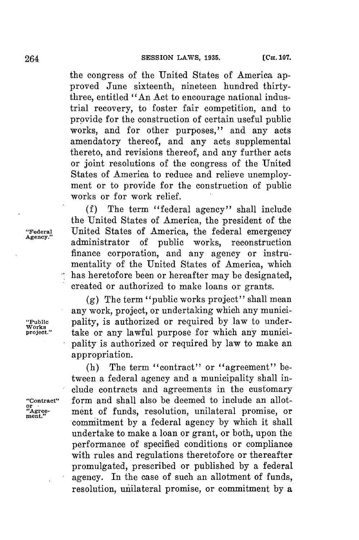the congress of the United States of America approved June sixteenth, nineteen hundred thirtythree, entitled "An Act to encourage national industrial recovery, to foster fair competition, and to provide for the construction of certain useful public works, and for other purposes," and any acts amendatory thereof, and any acts supplemental thereto, and revisions thereof, and any further acts or joint resolutions of the congress of the United States of America to reduce and relieve unemployment or to provide for the construction of public works or for work relief.

**(f)** The term "federal agency" shall include the United States of America, the president of the **"Federal** United States of America, the federal emergency Agency." administrator of public works, reconstruction finance corporation, and any agency or instrumentality of the United States of America, which has heretofore been or hereafter may be designated, created or authorized to make loans or grants.

**(g)** The term "public works project" shall mean any work, project, or undertaking which any munici- **"Public** pality, is authorized or required **by** law to undertake or any lawful purpose for which any municipality is authorized or required **by** law to make an appropriation.

(h) The term "contract" or "agreement" between a federal agency and a municipality shall include contracts and agreements in the customary "Contract" form and shall also be deemed to include an allot-<br>"Agree- ment of funds, resolution, unilateral promise, or ment of funds, resolution, unilateral promise, or commitment **by** a federal agency **by** which it shall undertake to make a loan or grant, or both, upon the performance of specified conditions or compliance with rules and regulations theretofore or thereafter promulgated, prescribed or published **by** a federal agency. In the case of such an allotment of funds, resolution, unilateral promise, or commitment **by** a

**Works**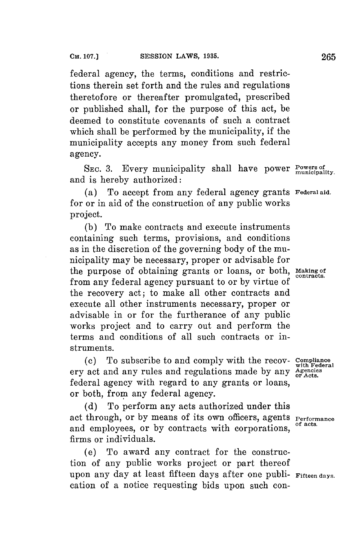federal agency, the terms, conditions and restrictions therein set forth and the rules and regulations theretofore or thereafter promulgated, prescribed or published shall, for the purpose of this act, be deemed to constitute covenants of such a contract which shall be performed **by** the municipality, if the municipality accepts any money from such federal agency.

**SEc. 3.** Every municipality shall have power **Powers of municipality.** and is hereby authorized:

(a) To accept from any federal agency grants **Federalaid.** for or in aid of the construction of any public works project.

**(b)** To make contracts and execute instruments containing such terms, provisions, and conditions as in the discretion of the governing body of the municipality may be necessary, proper or advisable for the purpose of obtaining grants or loans, or both, **Making of** from any federal agency pursuant to or **by** virtue of the recovery act; to make all other contracts and execute all other instruments necessary, proper or advisable in or for the furtherance of any public works project and to carry out and perform the terms and conditions of all such contracts or instruments.

**(c)** To subscribe to and comply with the recov- **Compliance** ery act and any rules and regulations made by any agencies. federal agency with regard to any grants or loans, or both, from any federal agency.

**(d)** To perform any acts authorized under this act through, or by means of its own officers, agents **Performance** and employees, or by contracts with corporations, firms or individuals.

(e) To award any contract for the construction of any public works project or part thereof upon any day at least fifteen days after one publi- **Fifteen days.** cation of a notice requesting bids upon such con-

**with Federal**

**contracts.**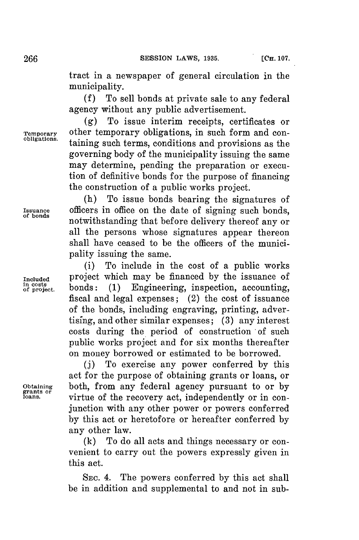tract in a newspaper of general circulation in the municipality.

**(f)** To sell bonds at private sale to any federal agency without any public advertisement.

**(g)** To issue interim receipts, certificates or **Temporary** other temporary obligations, in such form and con**obligations** taining such terms, conditions and provisions as the governing body of the municipality issuing the same may determine, pending the preparation or execution of definitive bonds for the purpose of financing the construction of a public works project.

(h) To issue bonds bearing the signatures of **Issuance** officers in office on the date of signing such bonds, **fbonds** notwithstanding that before delivery thereof any or all the persons whose signatures appear thereon shall have ceased to be the officers of the municipality issuing the same.

(i) To include in the cost of a public works Included project which may be financed by the issuance of  $\frac{1}{2}$  in costs of project. bonds: (1) Engineering, inspection, accounting fiscal and legal expenses; (2) the cost of issuance of the bonds, including engraving, printing, advertising, and other similar expenses; **(3)** any interest costs during the period of construction of such public works project and for six months thereafter on money borrowed or estimated to be borrowed.

**(j)** To exercise any power conferred **by** this act for the purpose of obtaining grants or loans, or **Obtaining** both, from any federal agency pursuant to or **by grants or loans** virtue of the recovery act, independently or in conjunction with any other power or powers conferred **by** this act or heretofore or hereafter conferred **by** any other law.

> **(k)** To do all acts and things necessary or convenient to carry out the powers expressly given in this act.

> **SEc.** 4. The powers conferred **by** this act shall be in addition and supplemental to and not in sub-